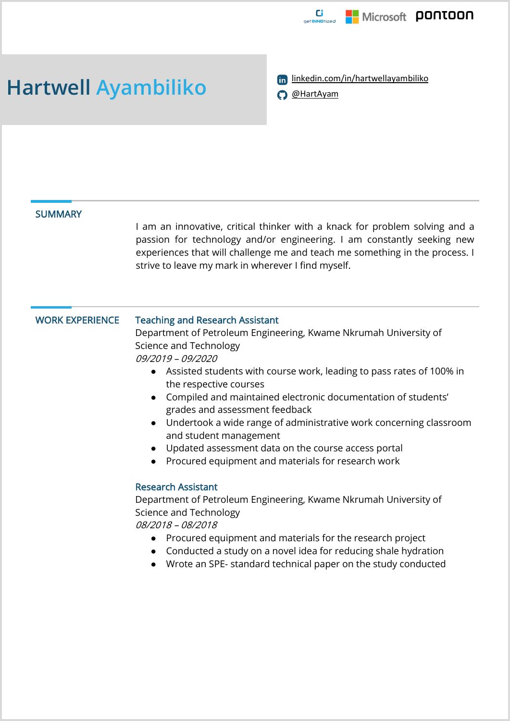

Hartwell Ayambiliko **linkedin.com/in/hartwellayambiliko** 



# **SUMMARY**

I am an innovative, critical thinker with a knack for problem solving and a passion for technology and/or engineering. I am constantly seeking new experiences that will challenge me and teach me something in the process. I strive to leave my mark in wherever I find myself.

## WORK EXPERIENCE Teaching and Research Assistant Department of Petroleum Engineering, Kwame Nkrumah University of Science and Technology 09/2019 – 09/2020 ● Assisted students with course work, leading to pass rates of 100% in the respective courses ● Compiled and maintained electronic documentation of students' grades and assessment feedback ● Undertook a wide range of administrative work concerning classroom and student management

- Updated assessment data on the course access portal
- Procured equipment and materials for research work

### Research Assistant

Department of Petroleum Engineering, Kwame Nkrumah University of Science and Technology

08/2018 – 08/2018

- Procured equipment and materials for the research project
- Conducted a study on a novel idea for reducing shale hydration
- Wrote an SPE- standard technical paper on the study conducted